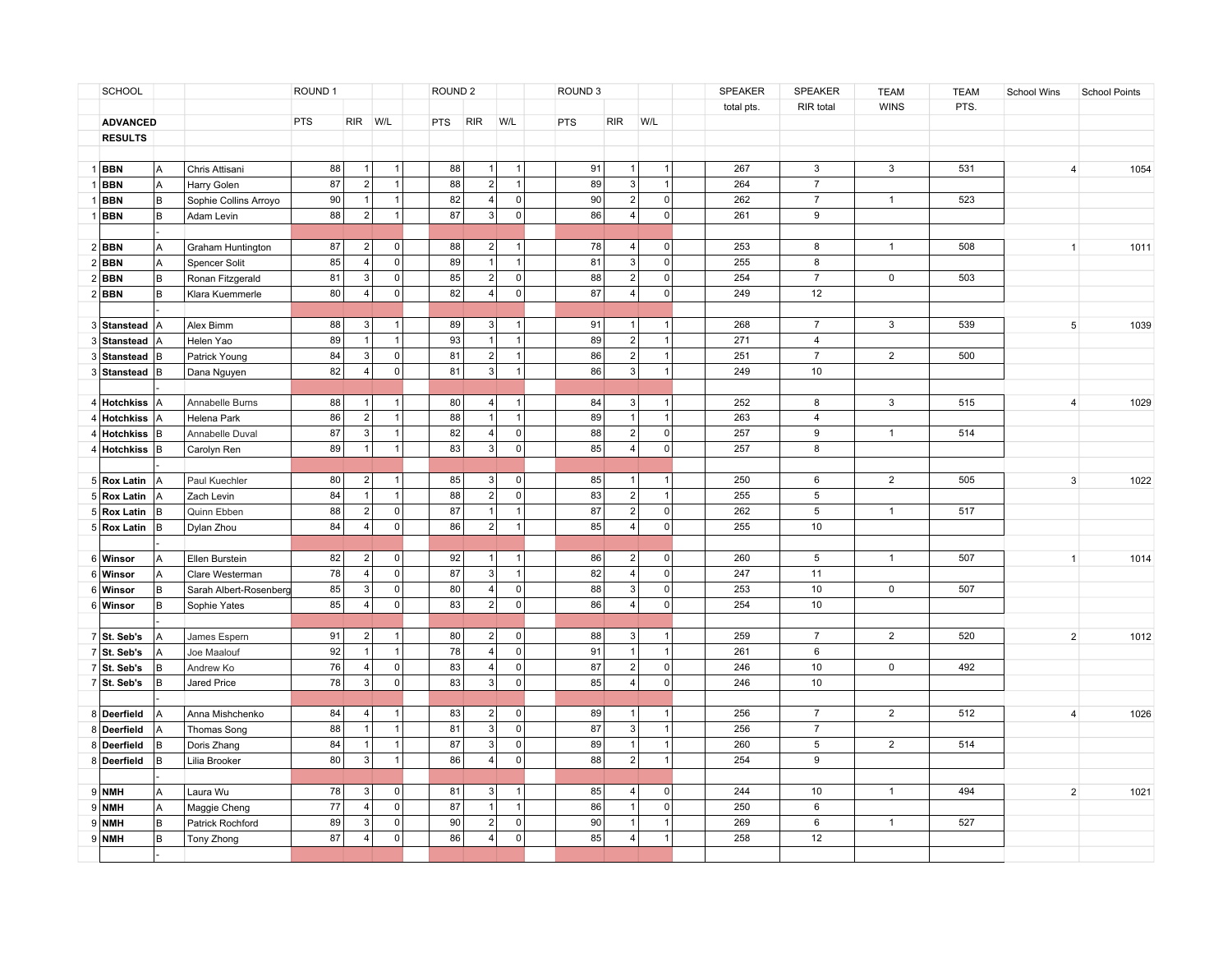| SCHOOL |                  |                | ROUND 1                |            | ROUND <sub>2</sub> |                |                 |                | ROUND <sub>3</sub> |                |     | SPEAKER        | SPEAKER             | <b>TEAM</b> | <b>TEAM</b>    | School Wins    | <b>School Points</b> |  |                        |
|--------|------------------|----------------|------------------------|------------|--------------------|----------------|-----------------|----------------|--------------------|----------------|-----|----------------|---------------------|-------------|----------------|----------------|----------------------|--|------------------------|
|        |                  |                |                        |            |                    |                |                 |                |                    |                |     |                |                     | total pts.  | RIR total      | <b>WINS</b>    | PTS.                 |  |                        |
|        | <b>ADVANCED</b>  |                |                        | <b>PTS</b> | RIR W/L            |                | <b>PTS</b>      | <b>RIR</b>     | W/L                |                | PTS | <b>RIR</b>     | W/L                 |             |                |                |                      |  |                        |
|        | <b>RESULTS</b>   |                |                        |            |                    |                |                 |                |                    |                |     |                |                     |             |                |                |                      |  |                        |
|        |                  |                |                        |            |                    |                |                 |                |                    |                |     |                |                     |             |                |                |                      |  |                        |
|        | <b>BBN</b>       | l A            | Chris Attisani         | 88         | $\overline{1}$     | 1              | 88              | $\overline{1}$ | $\overline{1}$     |                | 91  | 1              | $\overline{1}$      | 267         | 3              | 3              | 531                  |  | 1054<br>4              |
|        | <b>BBN</b>       | A              | Harry Golen            | 87         | 2 <sup>1</sup>     | 1              | 88              | $\overline{2}$ | $\overline{1}$     |                | 89  | 3              | $\overline{1}$      | 264         | $\overline{7}$ |                |                      |  |                        |
|        | <b>BBN</b>       | lв             | Sophie Collins Arroyo  | 90         | $\mathbf{1}$       | 1 <sup>1</sup> | 82              | $\overline{4}$ |                    | 0              | 90  | 2              | $\mathbf 0$         | 262         | $\overline{7}$ | $\mathbf{1}$   | 523                  |  |                        |
|        | <b>BBN</b>       | B              | Adam Levin             | 88         | 2 <sup>1</sup>     | 1              | $\overline{87}$ | $\overline{3}$ |                    | $\overline{0}$ | 86  | $\overline{4}$ | $\mathbf 0$         | 261         | $\overline{9}$ |                |                      |  |                        |
|        |                  |                |                        |            |                    |                |                 |                |                    |                |     |                |                     |             |                |                |                      |  |                        |
|        | $2$ <b>BBN</b>   | A              | Graham Huntington      | 87         | $\overline{2}$     | 0              | 88              | $\vert$ 2      | $\overline{1}$     |                | 78  | 4              | $\mathsf 0$         | 253         | 8              | $\mathbf{1}$   | 508                  |  | 1011<br>1              |
|        | $2$ <b>BBN</b>   | Α              | Spencer Solit          | 85         | 4                  | $\circ$        | 89              | $\overline{1}$ | $\overline{1}$     |                | 81  | 3              | $\overline{0}$      | 255         | 8              |                |                      |  |                        |
|        | $2$ <b>BBN</b>   | B              | Ronan Fitzgerald       | 81         | 3 <sup>1</sup>     | 0              | 85              | 2              |                    | 0              | 88  | $\overline{2}$ | $\mathbf 0$         | 254         | $\overline{7}$ | $\mathsf{O}$   | 503                  |  |                        |
|        | $2$ <b>BBN</b>   | lв             | Klara Kuemmerle        | 80         | 4                  | 0              | 82              | $\overline{4}$ |                    | 0              | 87  | 4 <sup>1</sup> | $\mathbf 0$         | 249         | 12             |                |                      |  |                        |
|        |                  |                |                        |            |                    |                |                 |                |                    |                |     |                |                     |             |                |                |                      |  |                        |
|        | 3 Stanstead   A  |                | Alex Bimm              | 88         | 3                  | $\mathbf{1}$   | 89              | 3              | $\overline{1}$     |                | 91  | $\overline{1}$ | $\overline{1}$      | 268         | $\overline{7}$ | 3              | 539                  |  | 1039<br>5              |
|        | 3 Stanstead      | lA             | Helen Yao              | 89         | $\mathbf{1}$       | 1              | 93              | $\overline{1}$ | $\overline{1}$     |                | 89  | 2 <sup>1</sup> | $\overline{1}$      | 271         | $\overline{4}$ |                |                      |  |                        |
|        | Stanstead B      |                | Patrick Young          | 84         | 3 <sup>1</sup>     | 0              | 81              | $\overline{2}$ | $\mathbf{1}$       |                | 86  | 2              | $\overline{1}$      | 251         | $\overline{7}$ | $\overline{2}$ | 500                  |  |                        |
|        | 3 Stanstead B    |                | Dana Nguyen            | 82         | 4 <sup>1</sup>     | 0              | 81              | 3              | $\overline{1}$     |                | 86  | 3 <sup>1</sup> | $\mathbf{1}$        | 249         | 10             |                |                      |  |                        |
|        |                  |                |                        |            |                    |                |                 |                |                    |                |     |                |                     |             |                |                |                      |  |                        |
|        | 4 Hotchkiss      | lA             | Annabelle Burns        | 88         | $\mathbf{1}$       | $\mathbf{1}$   | 80              | $\overline{4}$ | $\overline{1}$     |                | 84  | 3              | $\overline{1}$      | 252         | 8              | $\mathbf{3}$   | 515                  |  | 1029<br>$\overline{4}$ |
|        | 4 Hotchkiss      | l A            | Helena Park            | 86         | 2                  | 1              | 88              | $\overline{1}$ | $\overline{1}$     |                | 89  | 1              | $\overline{1}$      | 263         | $\overline{4}$ |                |                      |  |                        |
|        | <b>Hotchkiss</b> | lв             | Annabelle Duval        | 87         | 3                  | 1              | 82              | 4 <sup>1</sup> |                    | 0              | 88  | 2              | $\mathsf{O}\xspace$ | 257         | 9              | $\mathbf{1}$   | 514                  |  |                        |
|        | 4 Hotchkiss B    |                | Carolyn Ren            | 89         | 1                  | 1              | 83              | 3              |                    | 0              | 85  | 4              | $\mathsf 0$         | 257         | 8              |                |                      |  |                        |
|        |                  |                |                        |            |                    |                |                 |                |                    |                |     |                |                     |             |                |                |                      |  |                        |
|        | 5 Rox Latin      | l A            | Paul Kuechler          | 80         | 2                  | $\mathbf{1}$   | 85              | $\vert$ 3      |                    | 0              | 85  | 1              | $\overline{1}$      | 250         | 6              | $\overline{2}$ | 505                  |  | $\mathbf{3}$<br>1022   |
|        | 5 Rox Latin      | $\overline{A}$ | Zach Levin             | 84         | 1                  | 1              | 88              | $\vert$ 2      |                    | 0              | 83  | 2              | $\overline{1}$      | 255         | 5              |                |                      |  |                        |
|        | 5 Rox Latin      | lв             | Quinn Ebben            | 88         | 2                  | 0              | 87              | $\vert$ 1      |                    | $\mathbf{1}$   | 87  | 2              | $\mathsf 0$         | 262         | 5              | $\mathbf{1}$   | 517                  |  |                        |
|        | 5 Rox Latin      | lв             | Dylan Zhou             | 84         | 4                  | 0              | 86              | $\overline{2}$ | $\mathbf{1}$       |                | 85  | 4              | $\mathsf{O}\xspace$ | 255         | 10             |                |                      |  |                        |
|        |                  |                |                        |            |                    |                |                 |                |                    |                |     |                |                     |             |                |                |                      |  |                        |
|        | 6 Winsor         | l A            | Ellen Burstein         | 82         | 2                  | 0              | 92              | $\vert$ 1      | $\overline{1}$     |                | 86  | 2              | $\mathbf 0$         | 260         | 5              | $\mathbf{1}$   | 507                  |  | $\mathbf{1}$<br>1014   |
|        | 6 Winsor         | ΙA             | Clare Westerman        | 78         | 4                  | 0              | 87              | 3              | $\overline{1}$     |                | 82  | 4              | $\mathbf 0$         | 247         | 11             |                |                      |  |                        |
|        | 6 Winsor         | lв             | Sarah Albert-Rosenberg | 85         | 3                  | 0              | 80              | 4 <sup>1</sup> |                    | 0              | 88  | 3              | $\mathsf{O}\xspace$ | 253         | 10             | $\mathsf{O}$   | 507                  |  |                        |
|        | 6 Winsor         | lв             | Sophie Yates           | 85         | 4                  | 0              | 83              | $\overline{2}$ |                    | 0              | 86  | 4              | $\mathbf 0$         | 254         | 10             |                |                      |  |                        |
|        |                  |                |                        |            |                    |                |                 |                |                    |                |     |                |                     |             |                |                |                      |  |                        |
|        | 7 St. Seb's      | ΙA             | James Espern           | 91         | 2                  | $\mathbf{1}$   | 80              | $\vert$ 2      |                    | $\circ$        | 88  | 3              | $\overline{1}$      | 259         | $\overline{7}$ | 2              | 520                  |  | $\overline{2}$<br>1012 |
|        | 7 St. Seb's      | A              | Joe Maalouf            | 92         | $\mathbf{1}$       | 1              | 78              | $\overline{4}$ |                    | 0              | 91  | $\vert$ 1      | $\mathbf{1}$        | 261         | 6              |                |                      |  |                        |
|        | $7$ St. Seb's    | lв             | Andrew Ko              | 76         | 4                  | 0              | 83              | $\overline{4}$ |                    | 0              | 87  | 2              | $\mathbf 0$         | 246         | 10             | $\mathbf 0$    | 492                  |  |                        |
|        | $7$ St. Seb's    | lв             | Jared Price            | 78         | 3                  | 0              | 83              | 3              |                    | $\circ$        | 85  | 4              | $\mathbf 0$         | 246         | 10             |                |                      |  |                        |
|        |                  |                |                        |            |                    |                |                 |                |                    |                |     |                |                     |             |                |                |                      |  |                        |
|        | 8 Deerfield      | A              | Anna Mishchenko        | 84         | 4                  | $\mathbf{1}$   | 83              | $\vert$ 2      |                    | $\overline{0}$ | 89  | $\mathbf{1}$   | 1                   | 256         | $\overline{7}$ | $\overline{2}$ | 512                  |  | 1026<br>$\overline{4}$ |
|        | 8 Deerfield      | A              | Thomas Song            | 88         |                    | $\mathbf{1}$   | 81              | 3 <sup>1</sup> |                    | $\overline{0}$ | 87  | 3              | $\overline{1}$      | 256         | $\overline{7}$ |                |                      |  |                        |
|        | 8 Deerfield      | lв             | Doris Zhang            | 84         |                    | $\mathbf{1}$   | 87              | 3              |                    | $\circ$        | 89  | $\mathbf{1}$   | $\overline{1}$      | 260         | $\,$ 5 $\,$    | $\overline{2}$ | 514                  |  |                        |
|        | 8 Deerfield      | lв             | Lilia Brooker          | 80         | 3                  | $\mathbf{1}$   | 86              | $\overline{4}$ |                    | $\mathbf{0}$   | 88  | 2              | $\overline{1}$      | 254         | 9              |                |                      |  |                        |
|        |                  |                |                        |            |                    |                |                 |                |                    |                |     |                |                     |             |                |                |                      |  |                        |
|        | $9$ NMH          | A              | Laura Wu               | 78         | 3                  | 0              | 81              | $\mathbf{3}$   |                    |                | 85  | $\overline{4}$ | $\mathbf 0$         | 244         | 10             | $\mathbf{1}$   | 494                  |  | $\overline{2}$<br>1021 |
|        | $9$ NMH          | A              | Maggie Cheng           | 77         | 4                  | 0              | 87              | $\vert$ 1      | $\overline{1}$     |                | 86  | $\overline{1}$ | 0                   | 250         | 6              |                |                      |  |                        |
|        | $9$ NMH          | B              | Patrick Rochford       | 89         | 3                  | 0              | 90              | $\overline{2}$ |                    | $\mathbf 0$    | 90  |                | $\overline{1}$      | 269         | 6              | $\mathbf{1}$   | 527                  |  |                        |
|        | $9$ NMH          | B              | Tony Zhong             | 87         | 4                  | 0              | 86              | $\overline{4}$ |                    | $\mathbf 0$    | 85  | 4              | 1                   | 258         | 12             |                |                      |  |                        |
|        |                  |                |                        |            |                    |                |                 |                |                    |                |     |                |                     |             |                |                |                      |  |                        |
|        |                  |                |                        |            |                    |                |                 |                |                    |                |     |                |                     |             |                |                |                      |  |                        |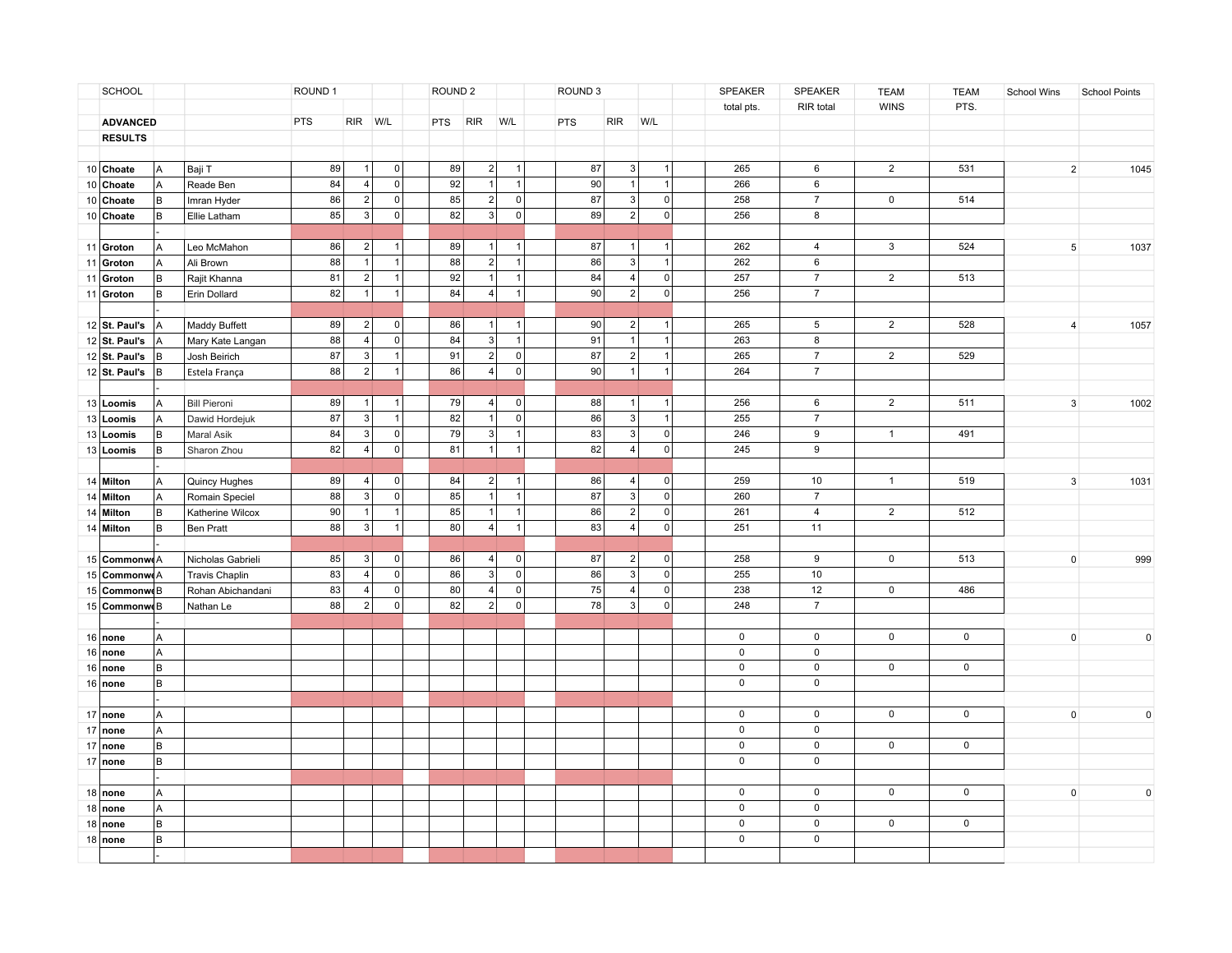|    | SCHOOL                |         |                       | ROUND 1    |                |         | ROUND <sub>2</sub> |                |                |                | ROUND <sub>3</sub> |                |                | SPEAKER             | SPEAKER             | <b>TEAM</b>    | <b>TEAM</b> | School Wins    | <b>School Points</b> |
|----|-----------------------|---------|-----------------------|------------|----------------|---------|--------------------|----------------|----------------|----------------|--------------------|----------------|----------------|---------------------|---------------------|----------------|-------------|----------------|----------------------|
|    |                       |         |                       |            |                |         |                    |                |                |                |                    |                |                | total pts.          | RIR total           | <b>WINS</b>    | PTS.        |                |                      |
|    | <b>ADVANCED</b>       |         |                       | <b>PTS</b> | RIR W/L        |         | <b>PTS</b>         | <b>RIR</b>     | W/L            |                | <b>PTS</b>         | <b>RIR</b>     | W/L            |                     |                     |                |             |                |                      |
|    | <b>RESULTS</b>        |         |                       |            |                |         |                    |                |                |                |                    |                |                |                     |                     |                |             |                |                      |
|    |                       |         |                       |            |                |         |                    |                |                |                |                    |                |                |                     |                     |                |             |                |                      |
|    | 10 Choate             | l A     | Baji T                | 89         | $\overline{1}$ | 0       | 89                 | $\vert$ 2      | $\mathbf{1}$   |                | 87                 | 3              | $\overline{1}$ | 265                 | 6                   | $\overline{2}$ | 531         | $\overline{2}$ | 1045                 |
|    | 10 Choate             | A       | Reade Ben             | 84         | $\vert$ 4      | 0       | 92                 | $\vert$ 1      | $\overline{1}$ |                | 90                 | $\vert$ 1      | $\overline{1}$ | 266                 | $\,6\,$             |                |             |                |                      |
|    | 10 Choate             | lв      | Imran Hyder           | 86         | 2 <sup>1</sup> | 0       | 85                 | $\overline{2}$ |                | 0              | 87                 | 3              | $\mathbf 0$    | 258                 | $\overline{7}$      | $\mathbf 0$    | 514         |                |                      |
|    | 10 Choate             | lв      | Ellie Latham          | 85         | 3 <sup>1</sup> | 0       | 82                 | $\overline{3}$ |                | $\overline{0}$ | 89                 | $\overline{2}$ | $\mathbf 0$    | 256                 | $\overline{8}$      |                |             |                |                      |
|    |                       |         |                       |            |                |         |                    |                |                |                |                    |                |                |                     |                     |                |             |                |                      |
|    | 11 Groton             | A       | Leo McMahon           | 86         | 2 <sup>1</sup> | 1       | 89                 | $\vert$ 1      | $\mathbf{1}$   |                | 87                 | 1              | $\overline{1}$ | 262                 | $\overline{4}$      | 3              | 524         | $\sqrt{5}$     | 1037                 |
| 11 | Groton                | A       | Ali Brown             | 88         | $\vert$ 1      | 1       | 88                 | $\overline{2}$ | $\mathbf{1}$   |                | 86                 | 3              | $\overline{1}$ | 262                 | 6                   |                |             |                |                      |
| 11 | Groton                | lв      | Rajit Khanna          | 81         | 2 <sup>1</sup> | 1       | 92                 | 1              | $\overline{1}$ |                | 84                 | 4              | $\overline{0}$ | 257                 | $\overline{7}$      | $\overline{2}$ | 513         |                |                      |
|    | 11 Groton             | lв      | Erin Dollard          | 82         | $\overline{1}$ | 1       | 84                 | $\overline{4}$ | $\mathbf{1}$   |                | 90                 | 2              | $\mathbf 0$    | 256                 | $\overline{7}$      |                |             |                |                      |
|    |                       |         |                       |            |                |         |                    |                |                |                |                    |                |                |                     |                     |                |             |                |                      |
|    | $12$ St. Paul's       | l A     | Maddy Buffett         | 89         | 2              | 0       | 86                 | $\vert$ 1      | $\mathbf{1}$   |                | 90                 | 2              | $\overline{1}$ | 265                 | 5                   | $\overline{2}$ | 528         | $\overline{4}$ | 1057                 |
|    | $12$ St. Paul's       | lA      | Mary Kate Langan      | 88         | 4              | 0       | 84                 | 3              | $\mathbf{1}$   |                | 91                 | 1              | $\overline{1}$ | 263                 | 8                   |                |             |                |                      |
|    | 12 $\vert$ St. Paul's | lв      | Josh Beirich          | 87         | 3              | 1       | 91                 | $\overline{2}$ |                | 0              | 87                 | 2              | $\overline{1}$ | 265                 | $\overline{7}$      | $\overline{2}$ | 529         |                |                      |
|    | 12 $\vert$ St. Paul's | lв      | Estela França         | 88         | 2              | 1       | 86                 | $\overline{4}$ |                | $\overline{0}$ | 90                 | 1              | $\overline{1}$ | 264                 | $\overline{7}$      |                |             |                |                      |
|    |                       |         |                       |            |                |         |                    |                |                |                |                    |                |                |                     |                     |                |             |                |                      |
|    | 13 Loomis             | A       | <b>Bill Pieroni</b>   | 89         | $\mathbf{1}$   | 1       | 79                 | 4              | $\overline{0}$ |                | 88                 | $\vert$ 1      | $\overline{1}$ | 256                 | 6                   | $\overline{2}$ | 511         | $\mathbf{3}$   | 1002                 |
|    | 13 Loomis             | A       | Dawid Hordejuk        | 87         | 3              | 1       | 82                 | $\vert$ 1      |                | 0              | 86                 | 3              | $\overline{1}$ | 255                 | $\overline{7}$      |                |             |                |                      |
|    | 13 Loomis             | lв      | Maral Asik            | 84         | 3              | 0       | 79                 | 3              | $\mathbf{1}$   |                | 83                 | 3              | $\mathsf 0$    | 246                 | $\boldsymbol{9}$    | $\mathbf{1}$   | 491         |                |                      |
|    | 13 Loomis             | lв      | Sharon Zhou           | 82         | 4              | $\circ$ | 81                 | $\vert$ 1      | $\overline{1}$ |                | 82                 | 4              | $\overline{0}$ | 245                 | $\boldsymbol{9}$    |                |             |                |                      |
|    |                       |         |                       |            |                |         |                    |                |                |                |                    |                |                |                     |                     |                |             |                |                      |
|    | 14 Milton             | A       | Quincy Hughes         | 89         | 4              | 0       | 84                 | $\overline{2}$ | $\mathbf{1}$   |                | 86                 | 4              | $\mathbf 0$    | 259                 | 10                  | $\mathbf{1}$   | 519         | $\mathbf{3}$   | 1031                 |
|    | 14 Milton             | l A     | Romain Speciel        | 88         | 3              | 0       | 85                 | $\vert$ 1      | $\mathbf{1}$   |                | 87                 | 3              | $\mathsf 0$    | 260                 | $\overline{7}$      |                |             |                |                      |
|    | 14 Milton             | lв      | Katherine Wilcox      | 90         | $\vert$ 1      | 1       | 85                 | $\vert$ 1      | $\mathbf{1}$   |                | 86                 | 2              | $\mathsf 0$    | 261                 | $\overline{4}$      | $\overline{2}$ | 512         |                |                      |
|    | 14 Milton             | lв      | Ben Pratt             | 88         | 3              | 1       | 80                 | $\overline{4}$ | $\overline{1}$ |                | 83                 | 4              | $\mathbf 0$    | 251                 | 11                  |                |             |                |                      |
|    |                       |         |                       |            |                |         |                    |                |                |                |                    |                |                |                     |                     |                |             |                |                      |
|    | 15 Commonw A          |         | Nicholas Gabrieli     | 85         | 3              | 0       | 86                 | $\overline{4}$ |                | 0              | 87                 | 2              | $\mathbf 0$    | 258                 | 9                   | $\mathsf{O}$   | 513         | $\mathbf{0}$   | 999                  |
|    | 15 Commonw A          |         | <b>Travis Chaplin</b> | 83         | 4              | 0       | 86                 | 3              |                | 0              | 86                 | 3              | $\mathsf 0$    | 255                 | $10$                |                |             |                |                      |
|    | 15 Commonwe B         |         | Rohan Abichandani     | 83         | 4              | 0       | 80                 | $\overline{4}$ |                | 0              | 75                 | 4              | $\mathbf 0$    | 238                 | 12                  | $\mathsf 0$    | 486         |                |                      |
|    | 15 Commonwe B         |         | Nathan Le             | 88         | 2              | 0       | 82                 | $\overline{2}$ |                | 0              | 78                 | 3              | $\mathbf 0$    | 248                 | $\overline{7}$      |                |             |                |                      |
|    |                       |         |                       |            |                |         |                    |                |                |                |                    |                |                |                     |                     |                |             |                |                      |
|    | 16 none               | Α       |                       |            |                |         |                    |                |                |                |                    |                |                | $\mathsf 0$         | $\mathbf 0$         | $\mathsf{O}$   | $\mathsf 0$ | $\mathbf{0}$   | $\mathbf 0$          |
|    | 16 none               | A       |                       |            |                |         |                    |                |                |                |                    |                |                | $\mathsf 0$         | $\mathsf 0$         |                |             |                |                      |
|    | 16 none               | B       |                       |            |                |         |                    |                |                |                |                    |                |                | $\mathsf 0$         | $\mathsf 0$         | $\mathbf 0$    | $\mathsf 0$ |                |                      |
|    | 16 none               | B       |                       |            |                |         |                    |                |                |                |                    |                |                | $\mathsf{O}\xspace$ | $\mathsf 0$         |                |             |                |                      |
|    |                       |         |                       |            |                |         |                    |                |                |                |                    |                |                |                     |                     |                |             |                |                      |
|    | 17 none               | A       |                       |            |                |         |                    |                |                |                |                    |                |                | $\mathbf 0$         | $\mathbf 0$         | $\mathbf 0$    | $\mathbf 0$ | $\mathbf 0$    | $\mathbf 0$          |
|    | 17 none               | l A     |                       |            |                |         |                    |                |                |                |                    |                |                | $\mathsf 0$         | $\mathsf 0$         |                |             |                |                      |
|    | 17 none               | B       |                       |            |                |         |                    |                |                |                |                    |                |                | $\mathsf 0$         | $\mathsf 0$         | $\mathbf 0$    | $\mathbf 0$ |                |                      |
|    | 17 none               | B       |                       |            |                |         |                    |                |                |                |                    |                |                | $\mathsf 0$         | $\mathsf 0$         |                |             |                |                      |
|    |                       |         |                       |            |                |         |                    |                |                |                |                    |                |                |                     |                     |                |             |                |                      |
|    | $18$ none             | l A     |                       |            |                |         |                    |                |                |                |                    |                |                | $\mathbf 0$         | $\mathbf 0$         | $\mathsf{O}$   | 0           | $\mathbf 0$    | $\mathbf 0$          |
|    | 18 none               | Α       |                       |            |                |         |                    |                |                |                |                    |                |                | $\mathsf 0$         | $\mathsf 0$         |                |             |                |                      |
|    | $18$ none             | lв      |                       |            |                |         |                    |                |                |                |                    |                |                | $\mathsf 0$         | $\mathsf 0$         | $\mathsf{O}$   | $\mathsf 0$ |                |                      |
|    | $18$ none             | $\sf B$ |                       |            |                |         |                    |                |                |                |                    |                |                | $\mathsf 0$         | $\mathsf{O}\xspace$ |                |             |                |                      |
|    |                       |         |                       |            |                |         |                    |                |                |                |                    |                |                |                     |                     |                |             |                |                      |
|    |                       |         |                       |            |                |         |                    |                |                |                |                    |                |                |                     |                     |                |             |                |                      |